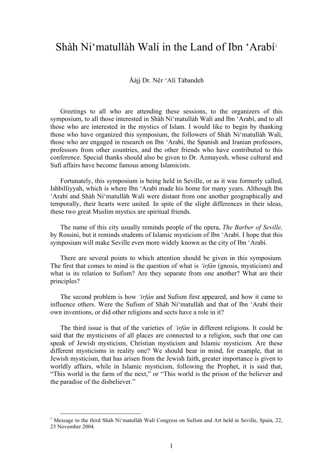## Shàh Ni'matullàh Walí in the Land of Ibn 'Arabí<sup>[1](#page-0-0)</sup>

Åàjj Dr. Nêr 'Alí Tàbandeh

Greetings to all who are attending these sessions, to the organizers of this symposium, to all those interested in Shàh Ni'matullàh Walí and Ibn 'Arabí, and to all those who are interested in the mystics of Islam. I would like to begin by thanking those who have organized this symposium, the followers of Shàh Ni'matullàh Walí, those who are engaged in research on Ibn 'Arabí, the Spanish and Iranian professors, professors from other countries, and the other friends who have contributed to this conference. Special thanks should also be given to Dr. Azmayesh, whose cultural and Sufi affairs have become famous among Islamicists.

Fortunately, this symposium is being held in Seville, or as it was formerly called, Ishbilliyyah, which is where Ibn 'Arabí made his home for many years. Although Ibn 'Arabí and Shàh Ni'matullàh Walí were distant from one another geographically and temporally, their hearts were united. In spite of the slight differences in their ideas, these two great Muslim mystics are spiritual friends.

The name of this city usually reminds people of the opera, *The Barber of Seville,* by Rossini, but it reminds students of Islamic mysticism of Ibn 'Arabí. I hope that this symposium will make Seville even more widely known as the city of Ibn 'Arabí.

There are several points to which attention should be given in this symposium. The first that comes to mind is the question of what is *'irfàn* (gnosis, mysticism) and what is its relation to Sufism? Are they separate from one another? What are their principles?

The second problem is how *'irfàn* and Sufism first appeared, and how it came to influence others. Were the Sufism of Shàh Ni'matullàh and that of Ibn 'Arabí their own inventions, or did other religions and sects have a role in it?

The third issue is that of the varieties of *'irfàn* in different religions. It could be said that the mysticisms of all places are connected to a religion, such that one can speak of Jewish mysticism, Christian mysticism and Islamic mysticism. Are these different mysticisms in reality one? We should bear in mind, for example, that in Jewish mysticism, that has arisen from the Jewish faith, greater importance is given to worldly affairs, while in Islamic mysticism, following the Prophet, it is said that, "This world is the farm of the next," or "This world is the prison of the believer and the paradise of the disbeliever."

 $\overline{a}$ 

<span id="page-0-0"></span><sup>&</sup>lt;sup>1</sup> Message to the third Shàh Ni'matullàh Walí Congress on Sufism and Art held in Seville, Spain, 22, 23 November 2004.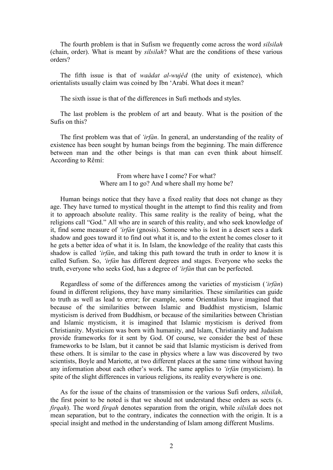The fourth problem is that in Sufism we frequently come across the word *silsilah*  (chain, order). What is meant by *silsilah*? What are the conditions of these various orders?

The fifth issue is that of *waådat al-wujêd* (the unity of existence), which orientalists usually claim was coined by Ibn 'Arabí. What does it mean?

The sixth issue is that of the differences in Sufi methods and styles.

The last problem is the problem of art and beauty. What is the position of the Sufis on this?

The first problem was that of *'irfàn*. In general, an understanding of the reality of existence has been sought by human beings from the beginning. The main difference between man and the other beings is that man can even think about himself. According to Rêmí:

## From where have I come? For what? Where am I to go? And where shall my home be?

Human beings notice that they have a fixed reality that does not change as they age. They have turned to mystical thought in the attempt to find this reality and from it to approach absolute reality. This same reality is the reality of being, what the religions call "God." All who are in search of this reality, and who seek knowledge of it, find some measure of *'irfàn* (gnosis). Someone who is lost in a desert sees a dark shadow and goes toward it to find out what it is, and to the extent he comes closer to it he gets a better idea of what it is. In Islam, the knowledge of the reality that casts this shadow is called *'irfàn*, and taking this path toward the truth in order to know it is called Sufism. So, *'irfàn* has different degrees and stages. Everyone who seeks the truth, everyone who seeks God, has a degree of *'irfàn* that can be perfected.

Regardless of some of the differences among the varieties of mysticism (*'irfàn*) found in different religions, they have many similarities. These similarities can guide to truth as well as lead to error; for example, some Orientalists have imagined that because of the similarities between Islamic and Buddhist mysticism, Islamic mysticism is derived from Buddhism, or because of the similarities between Christian and Islamic mysticism, it is imagined that Islamic mysticism is derived from Christianity. Mysticism was born with humanity, and Islam, Christianity and Judaism provide frameworks for it sent by God. Of course, we consider the best of these frameworks to be Islam, but it cannot be said that Islamic mysticism is derived from these others. It is similar to the case in physics where a law was discovered by two scientists, Boyle and Mariotte, at two different places at the same time without having any information about each other's work. The same applies to *'irfàn* (mysticism). In spite of the slight differences in various religions, its reality everywhere is one.

As for the issue of the chains of transmission or the various Sufi orders, *silsilah*, the first point to be noted is that we should not understand these orders as sects (s. *firqah*). The word *firqah* denotes separation from the origin, while *silsilah* does not mean separation, but to the contrary, indicates the connection with the origin. It is a special insight and method in the understanding of Islam among different Muslims.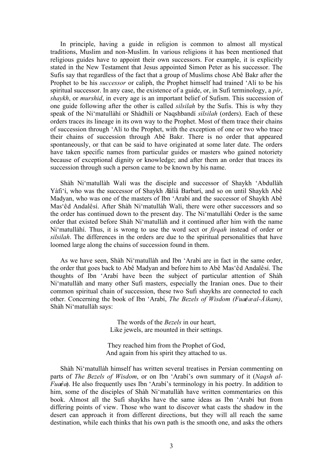In principle, having a guide in religion is common to almost all mystical traditions, Muslim and non-Muslim. In various religions it has been mentioned that religious guides have to appoint their own successors. For example, it is explicitly stated in the New Testament that Jesus appointed Simon Peter as his successor. The Sufis say that regardless of the fact that a group of Muslims chose Abê Bakr after the Prophet to be his *successor* or caliph, the Prophet himself had trained 'Alí to be his spiritual successor. In any case, the existence of a guide, or, in Sufi terminology, a *pír*, *shaykh*, or *murshid*, in every age is an important belief of Sufism. This succession of one guide following after the other is called *silsilah* by the Sufis. This is why they speak of the Ni'matullàhí or Shàdhilí or Naqshbandí *silsilah* (orders). Each of these orders traces its lineage in its own way to the Prophet. Most of them trace their chains of succession through 'Alí to the Prophet, with the exception of one or two who trace their chains of succession through Abê Bakr. There is no order that appeared spontaneously, or that can be said to have originated at some later date. The orders have taken specific names from particular guides or masters who gained notoriety because of exceptional dignity or knowledge; and after them an order that traces its succession through such a person came to be known by his name.

Shàh Ni'matullàh Walí was the disciple and successor of Shaykh 'Abdullàh Yàfi'í, who was the successor of Shaykh Æàliå Barbarí, and so on until Shaykh Abê Madyan, who was one of the masters of Ibn 'Arabí and the successor of Shaykh Abê Mas'êd Andalêsí. After Shàh Ni'matullàh Walí, there were other successors and so the order has continued down to the present day. The Ni'matullàhí Order is the same order that existed before Shàh Ni'matullàh and it continued after him with the name Ni'matullàhí. Thus, it is wrong to use the word sect or *firqah* instead of order or *silsilah*. The differences in the orders are due to the spiritual personalities that have loomed large along the chains of succession found in them.

As we have seen, Shàh Ni'matullàh and Ibn 'Arabí are in fact in the same order, the order that goes back to Abê Madyan and before him to Abê Mas'êd Andalêsí. The thoughts of Ibn 'Arabí have been the subject of particular attention of Shàh Ni'matullàh and many other Sufi masters, especially the Iranian ones. Due to their common spiritual chain of succession, these two Sufi shaykhs are connected to each other. Concerning the book of Ibn 'Arabí, *The Bezels of Wisdom (Fuæêæ al-Åikam)*, Shàh Ni'matullàh says:

> The words of the *Bezels* in our heart, Like jewels, are mounted in their settings.

They reached him from the Prophet of God, And again from his spirit they attached to us.

Shàh Ni'matullàh himself has written several treatises in Persian commenting on parts of *The Bezels of Wisdom*, or on Ibn 'Arabí's own summary of it (*Naqsh al-Fuæêæ*). He also frequently uses Ibn 'Arabí's terminology in his poetry. In addition to him, some of the disciples of Shàh Ni'matullàh have written commentaries on this book. Almost all the Sufi shaykhs have the same ideas as Ibn 'Arabí but from differing points of view. Those who want to discover what casts the shadow in the desert can approach it from different directions, but they will all reach the same destination, while each thinks that his own path is the smooth one, and asks the others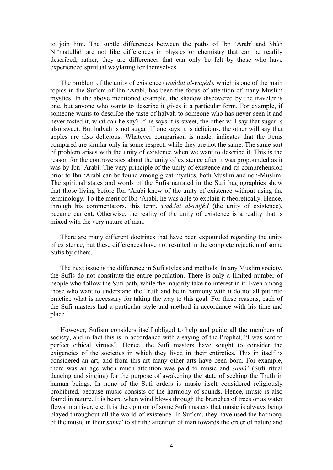to join him. The subtle differences between the paths of Ibn 'Arabí and Shàh Ni'matullàh are not like differences in physics or chemistry that can be readily described, rather, they are differences that can only be felt by those who have experienced spiritual wayfaring for themselves.

The problem of the unity of existence (*waådat al-wujêd*), which is one of the main topics in the Sufism of Ibn 'Arabí, has been the focus of attention of many Muslim mystics. In the above mentioned example, the shadow discovered by the traveler is one, but anyone who wants to describe it gives it a particular form. For example, if someone wants to describe the taste of halvah to someone who has never seen it and never tasted it, what can he say? If he says it is sweet, the other will say that sugar is also sweet. But halvah is not sugar. If one says it is delicious, the other will say that apples are also delicious. Whatever comparison is made, indicates that the items compared are similar only in some respect, while they are not the same. The same sort of problem arises with the unity of existence when we want to describe it. This is the reason for the controversies about the unity of existence after it was propounded as it was by Ibn 'Arabí. The very principle of the unity of existence and its comprehension prior to Ibn 'Arabí can be found among great mystics, both Muslim and non-Muslim. The spiritual states and words of the Sufis narrated in the Sufi hagiographies show that those living before Ibn 'Arabí knew of the unity of existence without using the terminology. To the merit of Ibn 'Arabí, he was able to explain it theoretically. Hence, through his commentators, this term, *waådat al-wujêd* (the unity of existence), became current. Otherwise, the reality of the unity of existence is a reality that is mixed with the very nature of man.

There are many different doctrines that have been expounded regarding the unity of existence, but these differences have not resulted in the complete rejection of some Sufis by others.

The next issue is the difference in Sufi styles and methods. In any Muslim society, the Sufis do not constitute the entire population. There is only a limited number of people who follow the Sufi path, while the majority take no interest in it. Even among those who want to understand the Truth and be in harmony with it do not all put into practice what is necessary for taking the way to this goal. For these reasons, each of the Sufi masters had a particular style and method in accordance with his time and place.

However, Sufism considers itself obliged to help and guide all the members of society, and in fact this is in accordance with a saying of the Prophet, "I was sent to perfect ethical virtues". Hence, the Sufi masters have sought to consider the exigencies of the societies in which they lived in their entireties. This in itself is considered an art, and from this art many other arts have been born. For example, there was an age when much attention was paid to music and *samà'* (Sufi ritual dancing and singing) for the purpose of awakening the state of seeking the Truth in human beings. In none of the Sufi orders is music itself considered religiously prohibited, because music consists of the harmony of sounds. Hence, music is also found in nature. It is heard when wind blows through the branches of trees or as water flows in a river, etc. It is the opinion of some Sufi masters that music is always being played throughout all the world of existence. In Sufism, they have used the harmony of the music in their *samà'* to stir the attention of man towards the order of nature and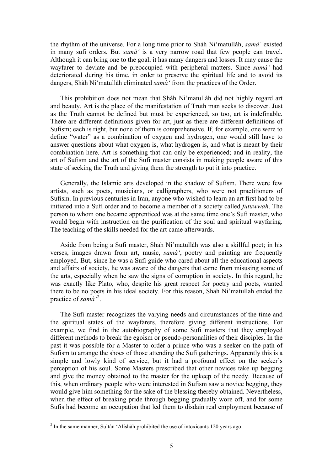the rhythm of the universe. For a long time prior to Shàh Ni'matullàh, *samà'* existed in many sufi orders. But *samà'* is a very narrow road that few people can travel. Although it can bring one to the goal, it has many dangers and losses. It may cause the wayfarer to deviate and be preoccupied with peripheral matters. Since *samà'* had deteriorated during his time, in order to preserve the spiritual life and to avoid its dangers, Shàh Ni'matullàh eliminated *samà'* from the practices of the Order.

This prohibition does not mean that Shàh Ni'matullàh did not highly regard art and beauty. Art is the place of the manifestation of Truth man seeks to discover. Just as the Truth cannot be defined but must be experienced, so too, art is indefinable. There are different definitions given for art, just as there are different definitions of Sufism; each is right, but none of them is comprehensive. If, for example, one were to define "water" as a combination of oxygen and hydrogen, one would still have to answer questions about what oxygen is, what hydrogen is, and what is meant by their combination here. Art is something that can only be experienced; and in reality, the art of Sufism and the art of the Sufi master consists in making people aware of this state of seeking the Truth and giving them the strength to put it into practice.

Generally, the Islamic arts developed in the shadow of Sufism. There were few artists, such as poets, musicians, or calligraphers, who were not practitioners of Sufism. In previous centuries in Iran, anyone who wished to learn an art first had to be initiated into a Sufi order and to become a member of a society called *futuwwah*. The person to whom one became apprenticed was at the same time one's Sufi master, who would begin with instruction on the purification of the soul and spiritual wayfaring. The teaching of the skills needed for the art came afterwards.

Aside from being a Sufi master, Shah Ni'matullàh was also a skillful poet; in his verses, images drawn from art, music, *samà'*, poetry and painting are frequently employed. But, since he was a Sufi guide who cared about all the educational aspects and affairs of society, he was aware of the dangers that came from misusing some of the arts, especially when he saw the signs of corruption in society. In this regard, he was exactly like Plato, who, despite his great respect for poetry and poets, wanted there to be no poets in his ideal society. For this reason, Shah Ni'matullah ended the practice of *samà'*[2](#page-4-0) .

The Sufi master recognizes the varying needs and circumstances of the time and the spiritual states of the wayfarers, therefore giving different instructions. For example, we find in the autobiography of some Sufi masters that they employed different methods to break the egoism or pseudo-personalities of their disciples. In the past it was possible for a Master to order a prince who was a seeker on the path of Sufism to arrange the shoes of those attending the Sufi gatherings. Apparently this is a simple and lowly kind of service, but it had a profound effect on the seeker's perception of his soul. Some Masters prescribed that other novices take up begging and give the money obtained to the master for the upkeep of the needy. Because of this, when ordinary people who were interested in Sufism saw a novice begging, they would give him something for the sake of the blessing thereby obtained. Nevertheless, when the effect of breaking pride through begging gradually wore off, and for some Sufis had become an occupation that led them to disdain real employment because of

 $\overline{a}$ 

<span id="page-4-0"></span> $2$  In the same manner, Sultàn 'Alíshàh prohibited the use of intoxicants 120 years ago.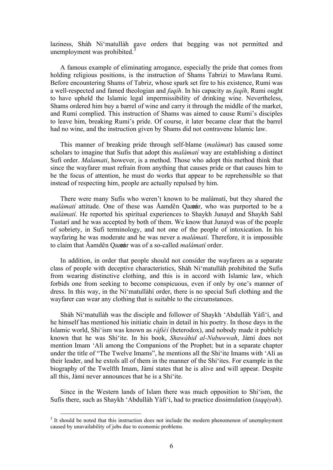laziness, Shàh Ni'matullàh gave orders that begging was not permitted and unemployment was prohibited. $3$ 

A famous example of eliminating arrogance, especially the pride that comes from holding religious positions, is the instruction of Shams Tabrizi to Mawlana Rumi. Before encountering Shams of Tabriz, whose spark set fire to his existence, Rumi was a well-respected and famed theologian and *faqíh*. In his capacity as *faqíh*, Rumi ought to have upheld the Islamic legal impermissibility of drinking wine. Nevertheless, Shams ordered him buy a barrel of wine and carry it through the middle of the market, and Rumi complied. This instruction of Shams was aimed to cause Rumi's disciples to leave him, breaking Rumi's pride. Of course, it later became clear that the barrel had no wine, and the instruction given by Shams did not contravene Islamic law.

This manner of breaking pride through self-blame (*malàmat*) has caused some scholars to imagine that Sufis that adopt this *malàmatí* way are establishing a distinct Sufi order. *Malamati*, however, is a method. Those who adopt this method think that since the wayfarer must refrain from anything that causes pride or that causes him to be the focus of attention, he must do works that appear to be reprehensible so that instead of respecting him, people are actually repulsed by him.

There were many Sufis who weren't known to be malàmatí, but they shared the *malàmatí* attitude. One of these was Åamdên Qaææàr, who was purported to be a *malàmatí*. He reported his spiritual experiences to Shaykh Junayd and Shaykh Sahl Tustarí and he was accepted by both of them. We know that Junayd was of the people of sobriety, in Sufi terminology, and not one of the people of intoxication. In his wayfaring he was moderate and he was never a *malàmatí*. Therefore, it is impossible to claim that Åamdên Qaææàr was of a so-called *malàmatí* order.

In addition, in order that people should not consider the wayfarers as a separate class of people with deceptive characteristics, Shàh Ni'matullàh prohibited the Sufis from wearing distinctive clothing, and this is in accord with Islamic law, which forbids one from seeking to become conspicuous, even if only by one's manner of dress. In this way, in the Ni'matullàhí order, there is no special Sufi clothing and the wayfarer can wear any clothing that is suitable to the circumstances.

Shàh Ni'matullàh was the disciple and follower of Shaykh 'Abdullàh Yàfi'í, and he himself has mentioned his initiatic chain in detail in his poetry. In those days in the Islamic world, Shi'ism was known as *ràfièí* (heterodox), and nobody made it publicly known that he was Shi'ite. In his book, *Shawàhid al-Nubuwwah*, Jàmí does not mention Imam 'Alí among the Companions of the Prophet; but in a separate chapter under the title of "The Twelve Imams", he mentions all the Shi'ite Imams with 'Alí as their leader, and he extols all of them in the manner of the Shi'ites. For example in the biography of the Twelfth Imam, Jàmí states that he is alive and will appear. Despite all this, Jàmí never announces that he is a Shi'ite.

Since in the Western lands of Islam there was much opposition to Shi'ism, the Sufis there, such as Shaykh 'Abdullàh Yàfi'í, had to practice dissimulation (*taqqiyah*).

 $\overline{a}$ 

<span id="page-5-0"></span><sup>&</sup>lt;sup>3</sup> It should be noted that this instruction does not include the modern phenomenon of unemployment caused by unavailability of jobs due to economic problems.